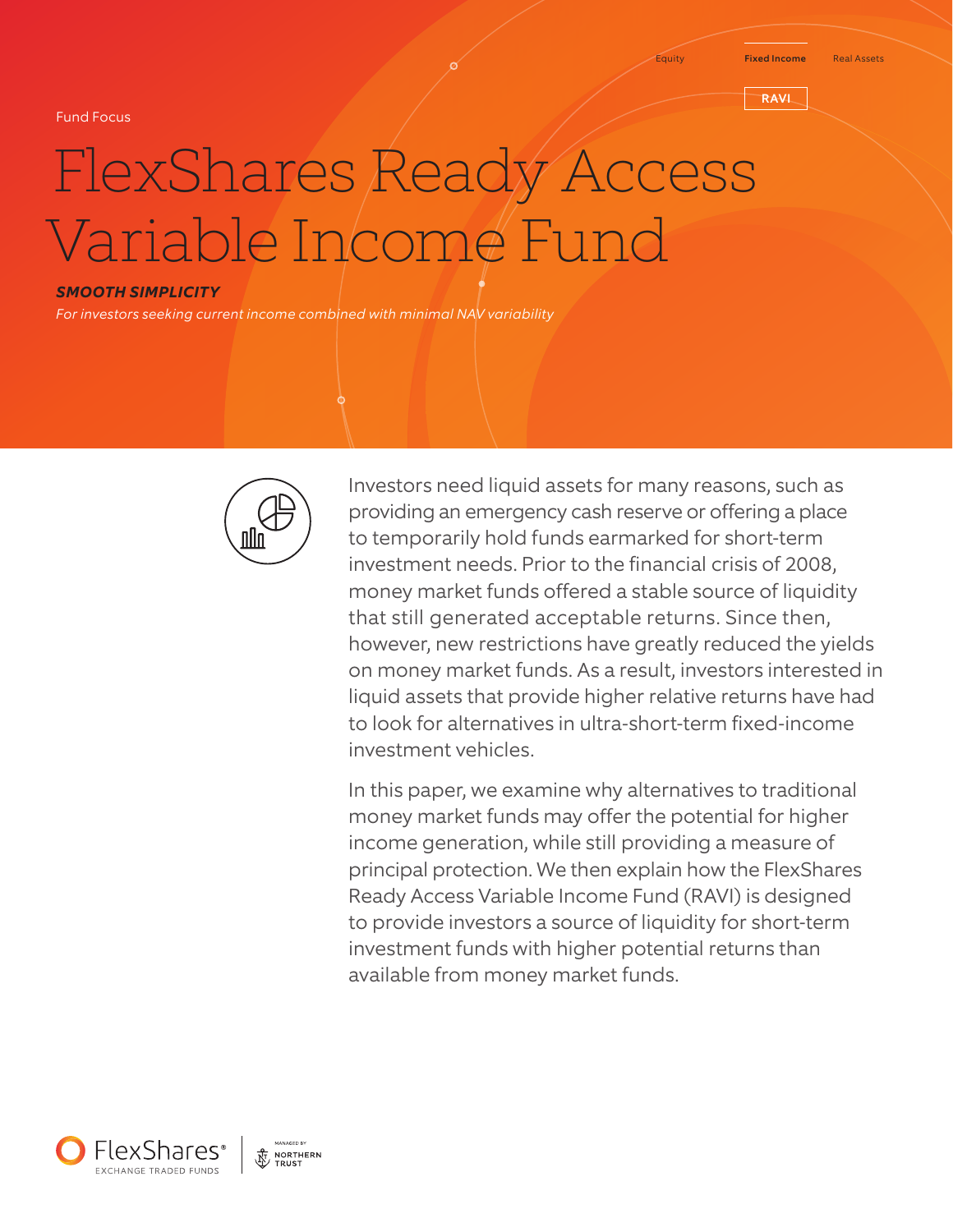Fund Focus

#### Equity Fixed Income Real Assets

**RAVI** 

# FlexShares Ready Access Variable Income Fund

#### *SMOOTH SIMPLICITY*

*For investors seeking current income combined with minimal NAV variability*



Investors need liquid assets for many reasons, such as providing an emergency cash reserve or offering a place to temporarily hold funds earmarked for short-term investment needs. Prior to the financial crisis of 2008, money market funds offered a stable source of liquidity that still generated acceptable returns. Since then, however, new restrictions have greatly reduced the yields on money market funds. As a result, investors interested in liquid assets that provide higher relative returns have had to look for alternatives in ultra-short-term fixed-income investment vehicles.

In this paper, we examine why alternatives to traditional money market funds may offer the potential for higher income generation, while still providing a measure of principal protection. We then explain how the FlexShares Ready Access Variable Income Fund (RAVI) is designed to provide investors a source of liquidity for short-term investment funds with higher potential returns than available from money market funds.

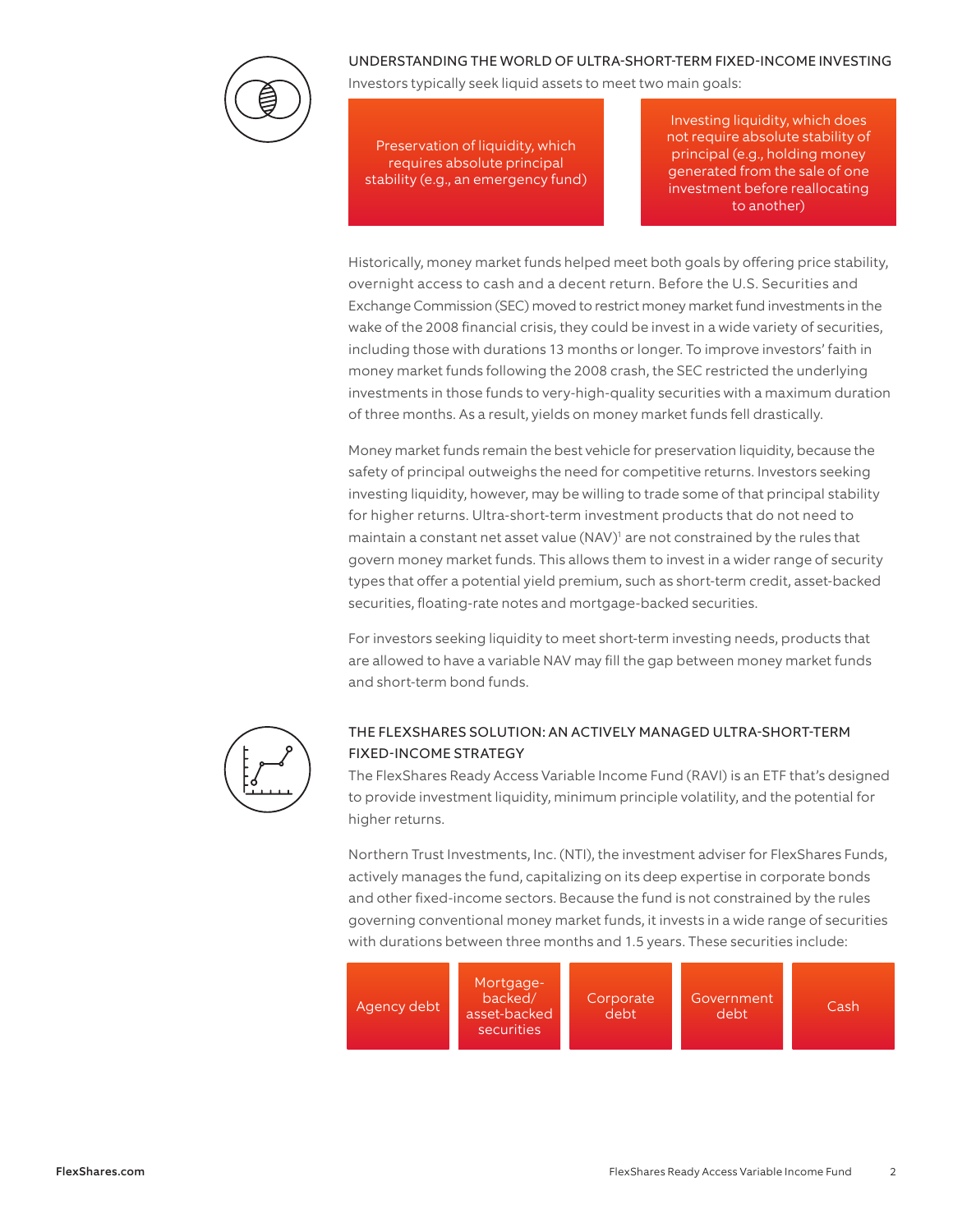

### UNDERSTANDING THE WORLD OF ULTRA-SHORT-TERM FIXED-INCOME INVESTING

Investors typically seek liquid assets to meet two main goals:

Preservation of liquidity, which requires absolute principal stability (e.g., an emergency fund)

Investing liquidity, which does not require absolute stability of principal (e.g., holding money generated from the sale of one investment before reallocating to another)

Historically, money market funds helped meet both goals by offering price stability, overnight access to cash and a decent return. Before the U.S. Securities and Exchange Commission (SEC) moved to restrict money market fund investments in the wake of the 2008 financial crisis, they could be invest in a wide variety of securities, including those with durations 13 months or longer. To improve investors' faith in money market funds following the 2008 crash, the SEC restricted the underlying investments in those funds to very-high-quality securities with a maximum duration of three months. As a result, yields on money market funds fell drastically.

Money market funds remain the best vehicle for preservation liquidity, because the safety of principal outweighs the need for competitive returns. Investors seeking investing liquidity, however, may be willing to trade some of that principal stability for higher returns. Ultra-short-term investment products that do not need to maintain a constant net asset value (NAV)<sup>1</sup> are not constrained by the rules that govern money market funds. This allows them to invest in a wider range of security types that offer a potential yield premium, such as short-term credit, asset-backed securities, floating-rate notes and mortgage-backed securities.

For investors seeking liquidity to meet short-term investing needs, products that are allowed to have a variable NAV may fill the gap between money market funds and short-term bond funds.



# THE FLEXSHARES SOLUTION: AN ACTIVELY MANAGED ULTRA-SHORT-TERM FIXED-INCOME STRATEGY

The FlexShares Ready Access Variable Income Fund (RAVI) is an ETF that's designed to provide investment liquidity, minimum principle volatility, and the potential for higher returns.

Northern Trust Investments, Inc. (NTI), the investment adviser for FlexShares Funds, actively manages the fund, capitalizing on its deep expertise in corporate bonds and other fixed-income sectors. Because the fund is not constrained by the rules governing conventional money market funds, it invests in a wide range of securities with durations between three months and 1.5 years. These securities include:

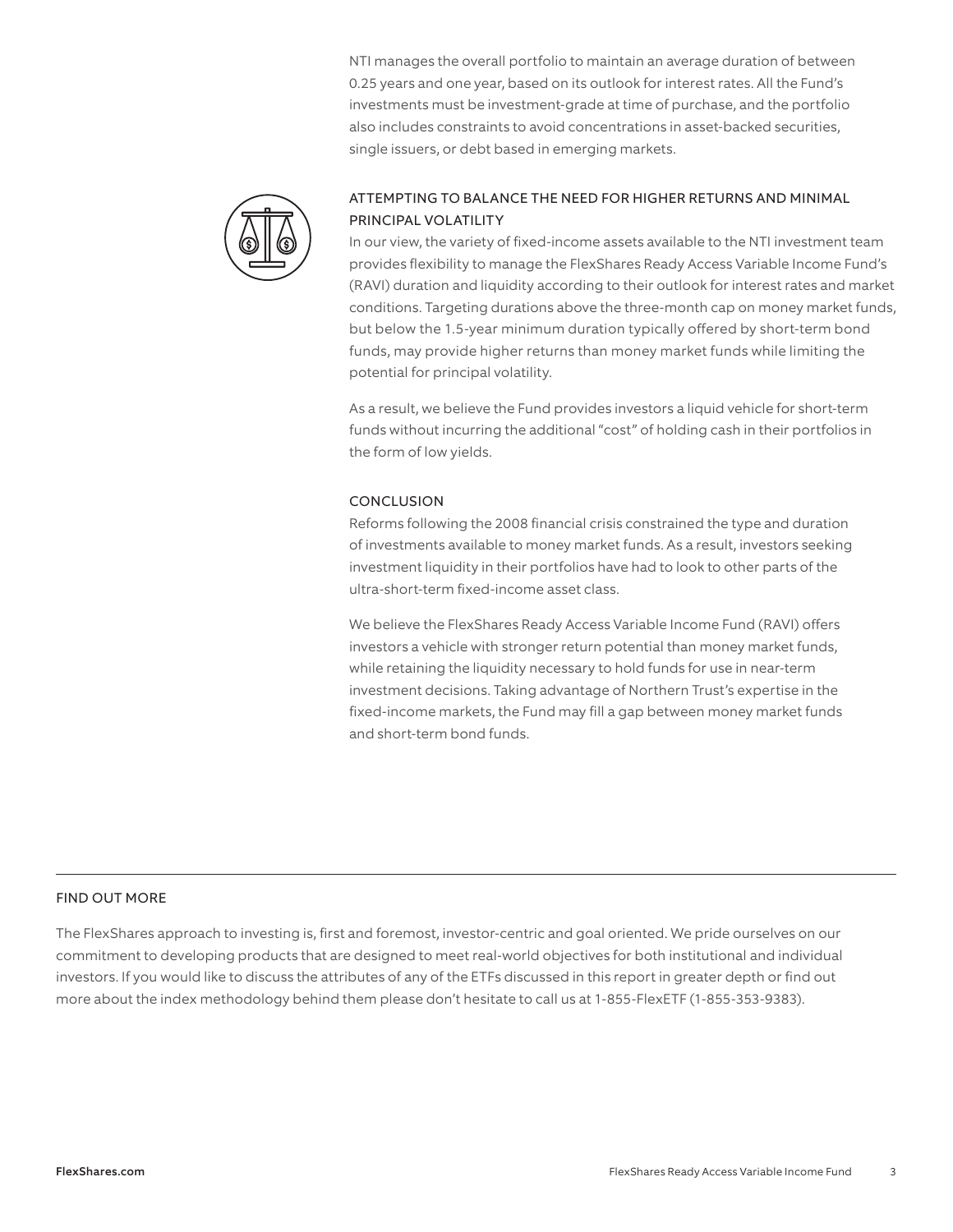NTI manages the overall portfolio to maintain an average duration of between 0.25 years and one year, based on its outlook for interest rates. All the Fund's investments must be investment-grade at time of purchase, and the portfolio also includes constraints to avoid concentrations in asset-backed securities, single issuers, or debt based in emerging markets.



# ATTEMPTING TO BALANCE THE NEED FOR HIGHER RETURNS AND MINIMAL PRINCIPAL VOLATILITY

In our view, the variety of fixed-income assets available to the NTI investment team provides flexibility to manage the FlexShares Ready Access Variable Income Fund's (RAVI) duration and liquidity according to their outlook for interest rates and market conditions. Targeting durations above the three-month cap on money market funds, but below the 1.5-year minimum duration typically offered by short-term bond funds, may provide higher returns than money market funds while limiting the potential for principal volatility.

As a result, we believe the Fund provides investors a liquid vehicle for short-term funds without incurring the additional "cost" of holding cash in their portfolios in the form of low yields.

#### **CONCLUSION**

Reforms following the 2008 financial crisis constrained the type and duration of investments available to money market funds. As a result, investors seeking investment liquidity in their portfolios have had to look to other parts of the ultra-short-term fixed-income asset class.

We believe the FlexShares Ready Access Variable Income Fund (RAVI) offers investors a vehicle with stronger return potential than money market funds, while retaining the liquidity necessary to hold funds for use in near-term investment decisions. Taking advantage of Northern Trust's expertise in the fixed-income markets, the Fund may fill a gap between money market funds and short-term bond funds.

### FIND OUT MORE

The FlexShares approach to investing is, first and foremost, investor-centric and goal oriented. We pride ourselves on our commitment to developing products that are designed to meet real-world objectives for both institutional and individual investors. If you would like to discuss the attributes of any of the ETFs discussed in this report in greater depth or find out more about the index methodology behind them please don't hesitate to call us at 1-855-FlexETF (1-855-353-9383).